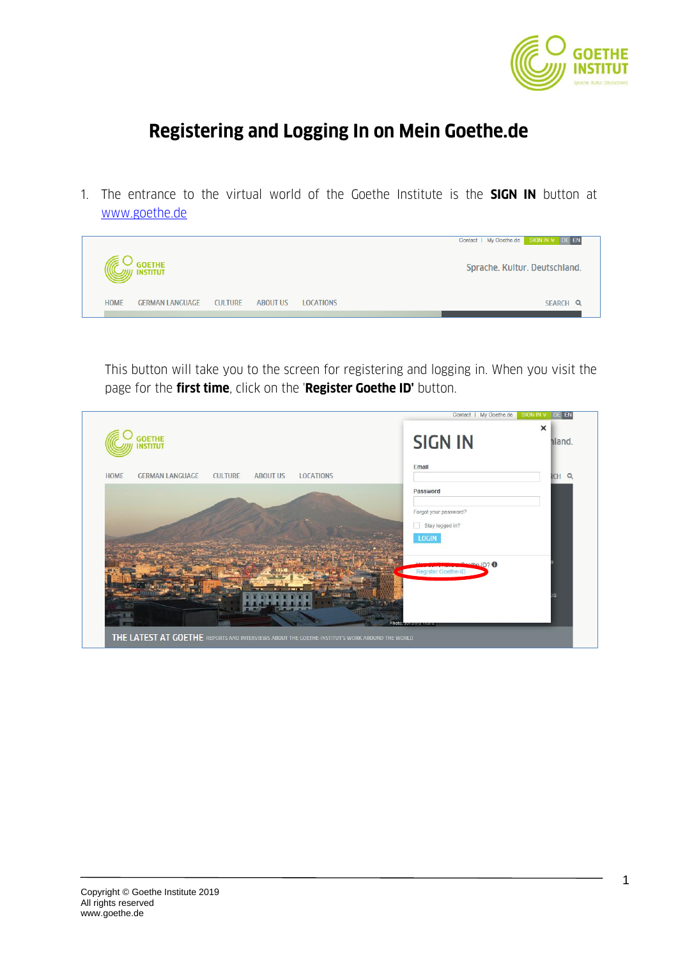

# **Registering and Logging In on Mein Goethe.de**

1. The entrance to the virtual world of the Goethe Institute is the **SIGN IN** button at [www.goethe.de](http://www.goethe.de/)



This button will take you to the screen for registering and logging in. When you visit the page for the **first time**, click on the '**Register Goethe ID'** button.

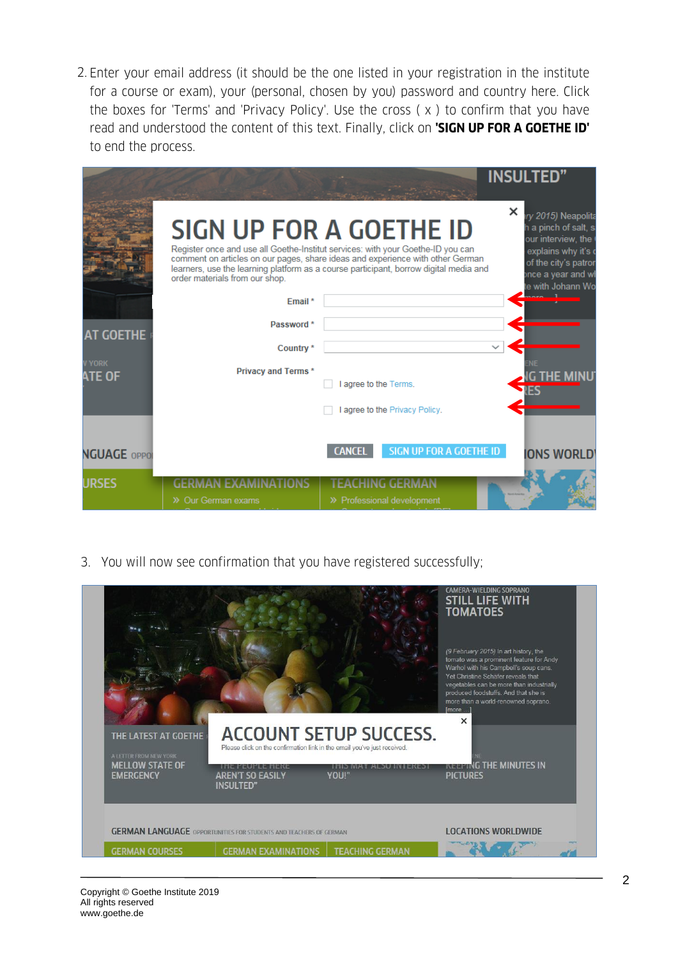2. Enter your email address (it should be the one listed in your registration in the institute for a course or exam), your (personal, chosen by you) password and country here. Click the boxes for 'Terms' and 'Privacy Policy'. Use the cross ( x ) to confirm that you have read and understood the content of this text. Finally, click on **'SIGN UP FOR A GOETHE ID'** to end the process.

| <b>AT GOETHE</b><br><b>YORK</b><br><b>ATE OF</b> | order materials from our shop.<br>Email*<br>Password*<br>Country*<br><b>Privacy and Terms*</b> | <b>SIGN UP FOR A GOETHE ID</b><br>Register once and use all Goethe-Institut services: with your Goethe-ID you can<br>comment on articles on our pages, share ideas and experience with other German<br>learners, use the learning platform as a course participant, borrow digital media and<br>I agree to the Terms.<br>I agree to the Privacy Policy. | <b>INSULTED"</b><br>×<br>ry 2015) Neapolita<br>h a pinch of salt, s<br>our interview, the<br>explains why it's o<br>of the city's patron<br>once a year and wh<br>te with Johann Wo |
|--------------------------------------------------|------------------------------------------------------------------------------------------------|---------------------------------------------------------------------------------------------------------------------------------------------------------------------------------------------------------------------------------------------------------------------------------------------------------------------------------------------------------|-------------------------------------------------------------------------------------------------------------------------------------------------------------------------------------|
| <b>NGUAGE OPPOI</b>                              |                                                                                                | SIGN UP FOR A GOETHE ID<br><b>CANCEL</b>                                                                                                                                                                                                                                                                                                                | <b>ONS WORLD</b>                                                                                                                                                                    |
| <b>URSES</b>                                     | >> Our German exams                                                                            | >> Professional development                                                                                                                                                                                                                                                                                                                             |                                                                                                                                                                                     |

3. You will now see confirmation that you have registered successfully;

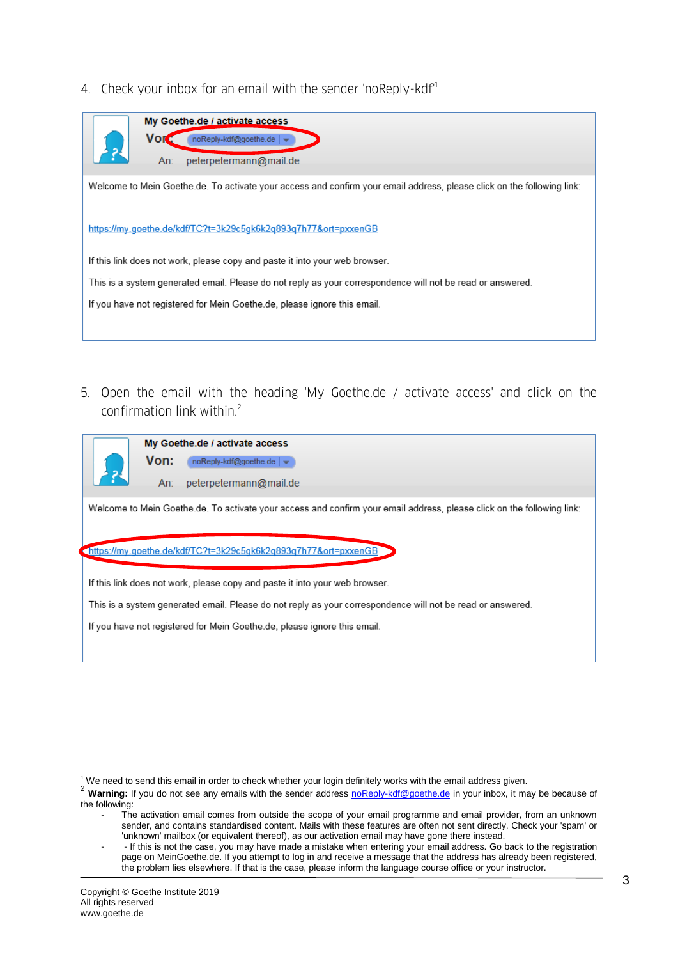4. Check your inbox for an email with the sender 'noReply-kdf<sup>1</sup>



5. Open the email with the heading 'My Goethe.de / activate access' and click on the confirmation link within.<sup>2</sup>



My Goethe.de / activate access Von: noReply-kdf@goethe.de | v An: peterpetermann@mail.de

Welcome to Mein Goethe.de. To activate your access and confirm your email address, please click on the following link:

https://my.goethe.de/kdf/TC?t=3k29c5gk6k2q893q7h77&ort=pxxenGB

If this link does not work, please copy and paste it into your web browser.

This is a system generated email. Please do not reply as your correspondence will not be read or answered.

If you have not registered for Mein Goethe.de, please ignore this email.

 $1$  We need to send this email in order to check whether your login definitely works with the email address given.

<sup>2</sup> **Warning:** If you do not see any emails with the sender address [noReply-kdf@goethe.de](mailto:noReply-kdf@goethe.de) in your inbox, it may be because of the following:

The activation email comes from outside the scope of your email programme and email provider, from an unknown sender, and contains standardised content. Mails with these features are often not sent directly. Check your 'spam' or 'unknown' mailbox (or equivalent thereof), as our activation email may have gone there instead.

<sup>- -</sup> If this is not the case, you may have made a mistake when entering your email address. Go back to the registration page on MeinGoethe.de. If you attempt to log in and receive a message that the address has already been registered, the problem lies elsewhere. If that is the case, please inform the language course office or your instructor.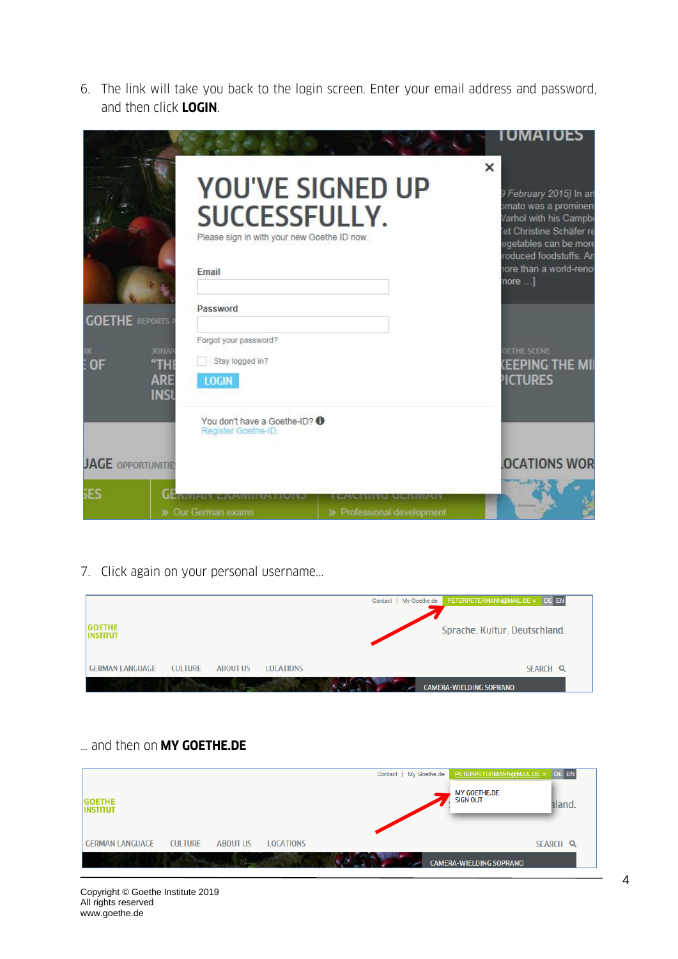6. The link will take you back to the login screen. Enter your email address and password, and then click **LOGIN**.

|                             |                                                                                                                          |                                                 | <b>IUMAIOES</b>                                                                                                                                                                                   |
|-----------------------------|--------------------------------------------------------------------------------------------------------------------------|-------------------------------------------------|---------------------------------------------------------------------------------------------------------------------------------------------------------------------------------------------------|
|                             | Please sign in with your new Goethe ID now.<br>Email                                                                     | <b>YOU'VE SIGNED UP</b><br><b>SUCCESSFULLY.</b> | ×<br>9 February 2015) In art<br>omato was a prominen<br>Varhol with his Campb<br>et Christine Schäfer re<br>egetables can be more<br>roduced foodstuffs. Ar<br>hore than a world-reno<br>$more$ ] |
| <b>GOETHE REPORTS</b><br>0F | Password<br>Forgot your password?<br><b>JOHA</b><br>Stay logged in?<br>"TH"<br><b>ARE</b><br><b>LOGIN</b><br><b>INSI</b> |                                                 | <b>JETHE SCENE</b><br><b>(EEPING THE MI</b><br><b>PICTURES</b>                                                                                                                                    |
| <b>JAGE OPPORTUNITIE</b>    | You don't have a Goethe-ID? <sup>0</sup><br>Register Goethe-ID.                                                          |                                                 | <b>OCATIONS WOR</b>                                                                                                                                                                               |
| 5ES                         | GERTYD<br>» Our German exams                                                                                             | >> Professional development                     |                                                                                                                                                                                                   |

7. Click again on your personal username...

|                                                                                 | My Goethe.de PETERPETERMANN@MAIL.DE & DE EN<br>Contact |
|---------------------------------------------------------------------------------|--------------------------------------------------------|
| <b>GOETHE</b><br><b>INSTITUT</b>                                                | Sprache, Kultur, Deutschland,                          |
| <b>GERMAN LANGUAGE</b><br><b>CULTURE</b><br><b>ABOUT US</b><br><b>LOCATIONS</b> | SEARCH Q                                               |
|                                                                                 | <b>CAMERA-WIELDING SOPRANO</b>                         |

### … and then on **MY GOETHE.DE**

|                                  |                |                 |                  | Contact   My Goethe.de | PETERPETERMANN@MAIL.DE > DE EN         |          |  |
|----------------------------------|----------------|-----------------|------------------|------------------------|----------------------------------------|----------|--|
| <b>GOETHE</b><br><b>INSTITUT</b> |                |                 |                  |                        | <b>MY GOETHE.DE</b><br><b>SIGN OUT</b> | iland.   |  |
| <b>GERMAN LANGUAGE</b>           | <b>CULTURE</b> | <b>ABOUT US</b> | <b>LOCATIONS</b> |                        |                                        | SEARCH Q |  |
|                                  |                |                 |                  |                        | <b>CAMERA-WIELDING SOPRANO</b>         |          |  |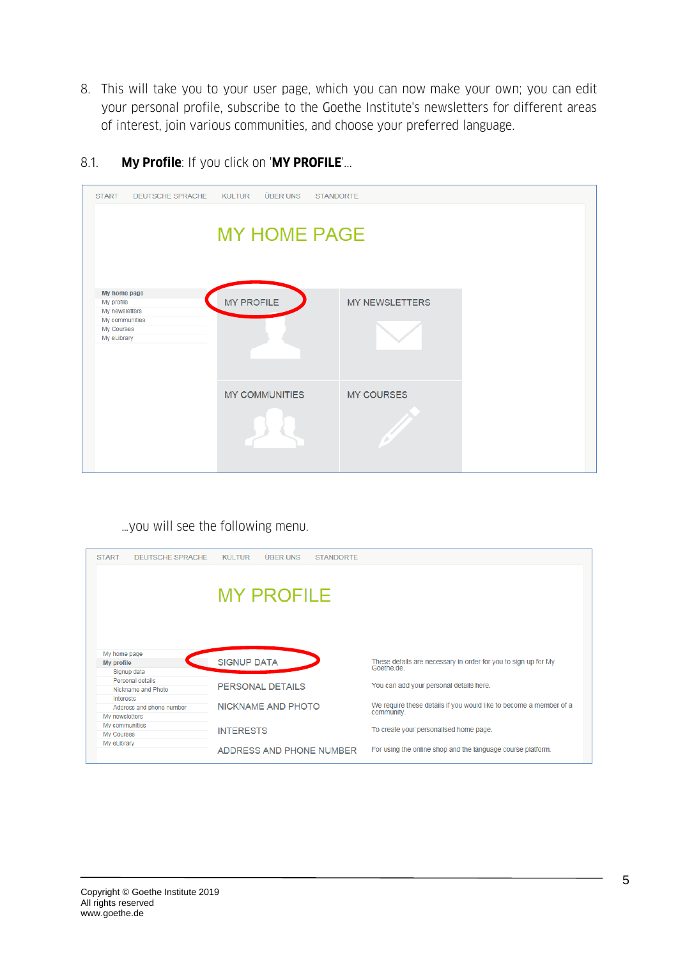- 8. This will take you to your user page, which you can now make your own; you can edit your personal profile, subscribe to the Goethe Institute's newsletters for different areas of interest, join various communities, and choose your preferred language.
- 8.1. **My Profile**: If you click on '**MY PROFILE**'...

| <b>START</b><br><b>DEUTSCHE SPRACHE</b>                                                     | ÜBER UNS<br><b>KULTUR</b> | <b>STANDORTE</b>      |  |
|---------------------------------------------------------------------------------------------|---------------------------|-----------------------|--|
|                                                                                             | <b>MY HOME PAGE</b>       |                       |  |
| My home page<br>My profile<br>My newsletters<br>My communities<br>My Courses<br>My eLibrary | <b>MY PROFILE</b>         | <b>MY NEWSLETTERS</b> |  |
|                                                                                             | <b>MY COMMUNITIES</b>     | <b>MY COURSES</b>     |  |

…you will see the following menu.

| <b>START</b><br><b>DEUTSCHE SPRACHE</b> | <b>ÜBER UNS</b><br><b>KULTUR</b><br><b>STANDORTE</b> |                                                                                  |
|-----------------------------------------|------------------------------------------------------|----------------------------------------------------------------------------------|
|                                         |                                                      |                                                                                  |
|                                         |                                                      |                                                                                  |
|                                         | <b>MY PROFILE</b>                                    |                                                                                  |
|                                         |                                                      |                                                                                  |
|                                         |                                                      |                                                                                  |
|                                         |                                                      |                                                                                  |
|                                         |                                                      |                                                                                  |
| My home page                            |                                                      |                                                                                  |
| My profile                              | <b>SIGNUP DATA</b>                                   | These details are necessary in order for you to sign up for My<br>Goethe de      |
| Signup data                             |                                                      |                                                                                  |
| Personal details                        | PERSONAL DETAILS                                     | You can add your personal details here.                                          |
| Nickname and Photo                      |                                                      |                                                                                  |
| Interests                               |                                                      |                                                                                  |
| Address and phone number                | NICKNAME AND PHOTO                                   | We require these details if you would like to become a member of a<br>community. |
| My newsletters                          |                                                      |                                                                                  |
| My communities                          |                                                      | To create your personalised home page.                                           |
| My Courses                              | <b>INTERESTS</b>                                     |                                                                                  |
| My eLibrary                             |                                                      |                                                                                  |
|                                         | ADDRESS AND PHONE NUMBER                             | For using the online shop and the language course platform.                      |
|                                         |                                                      |                                                                                  |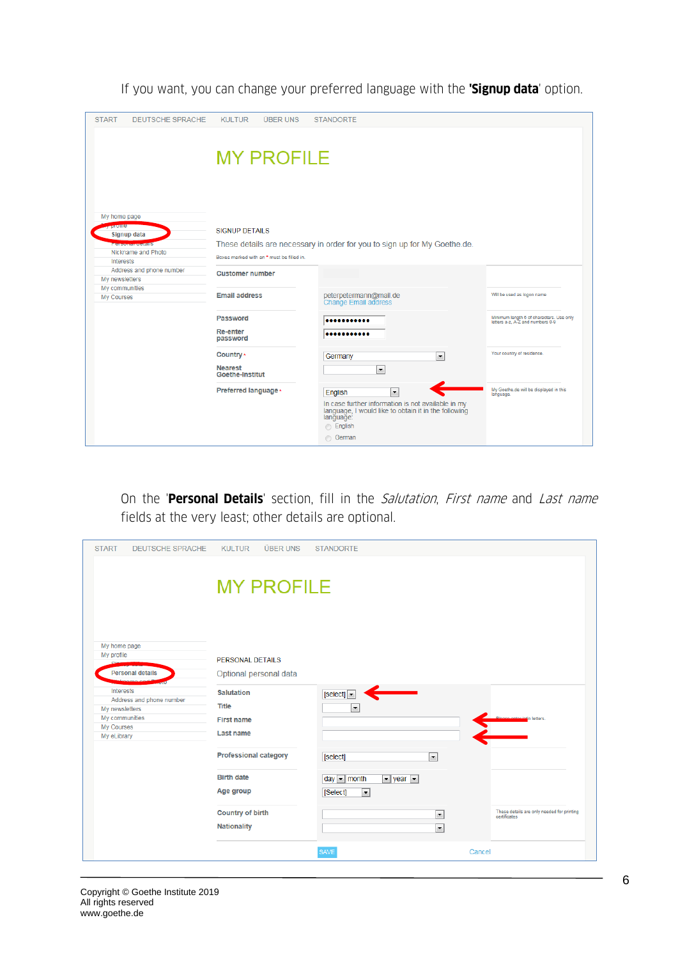If you want, you can change your preferred language with the **'Signup data**' option.

| <b>START</b><br><b>DEUTSCHE SPRACHE</b>                                                                 | KUI TUR<br><b>ÜBER UNS</b>                                         | <b>STANDORTE</b>                                                                                                                                                                                  |                                                                              |
|---------------------------------------------------------------------------------------------------------|--------------------------------------------------------------------|---------------------------------------------------------------------------------------------------------------------------------------------------------------------------------------------------|------------------------------------------------------------------------------|
|                                                                                                         | <b>MY PROFILE</b>                                                  |                                                                                                                                                                                                   |                                                                              |
| My home page<br><b>Prome</b><br>Signup data<br><b>City Countries</b><br>Nickname and Photo<br>Interests | <b>SIGNUP DETAILS</b><br>Boxes marked with an * must be filled in. | These details are necessary in order for you to sign up for My Goethe.de.                                                                                                                         |                                                                              |
| Address and phone number<br>My newsletters                                                              | <b>Customer number</b>                                             |                                                                                                                                                                                                   |                                                                              |
| My communities<br>My Courses                                                                            | <b>Email address</b>                                               | peterpetermann@mail.de<br><b>Change Email address</b>                                                                                                                                             | Will be used as logon name                                                   |
|                                                                                                         | Password<br><b>Re-enter</b><br>password                            | <br>                                                                                                                                                                                              | Minimum length 6 of characters. Use only<br>letters a-z, A-Z and numbers 0-9 |
|                                                                                                         | Country *<br><b>Nearest</b><br><b>Goethe-Institut</b>              | $\blacktriangledown$<br>Germany<br>$\overline{\phantom{a}}$                                                                                                                                       | Your country of residence.                                                   |
|                                                                                                         | Preferred language *                                               | $\overline{\phantom{a}}$<br>English<br>In case further information is not available in my<br>language, I would like to obtain it in the following<br>language:<br><b>English</b><br><b>German</b> | My Goethe.de will be displayed in this<br>language.                          |

On the '**Personal Details**' section, fill in the Salutation, First name and Last name fields at the very least; other details are optional.

| <b>START</b><br><b>DEUTSCHE SPRACHE</b>                                                                | <b>ÜBER UNS</b><br><b>KULTUR</b>                                    | <b>STANDORTE</b>                                                                                                           |        |                                                            |
|--------------------------------------------------------------------------------------------------------|---------------------------------------------------------------------|----------------------------------------------------------------------------------------------------------------------------|--------|------------------------------------------------------------|
|                                                                                                        | <b>MY PROFILE</b>                                                   |                                                                                                                            |        |                                                            |
| My home page<br>My profile                                                                             | PERSONAL DETAILS                                                    |                                                                                                                            |        |                                                            |
| <b>Personal details</b>                                                                                | Optional personal data                                              |                                                                                                                            |        |                                                            |
| Interests<br>Address and phone number<br>My newsletters<br>My communities<br>My Courses<br>My eLibrary | <b>Salutation</b><br><b>Title</b><br><b>First name</b><br>Last name | [select]<br>$\overline{\phantom{a}}$                                                                                       |        | in letters.                                                |
|                                                                                                        | <b>Professional category</b>                                        | [select]<br>$\overline{\phantom{0}}$                                                                                       |        |                                                            |
|                                                                                                        | <b>Birth date</b><br>Age group                                      | day $\boxed{\mathbf{v}}$ month<br>$\blacktriangleright$ year $\blacktriangleright$<br>$\overline{\phantom{a}}$<br>[Select] |        |                                                            |
|                                                                                                        | <b>Country of birth</b><br><b>Nationality</b>                       | $\overline{\phantom{a}}$<br>$\overline{\phantom{a}}$                                                                       |        | These details are only needed for printing<br>certificates |
|                                                                                                        |                                                                     | <b>SAVE</b>                                                                                                                | Cancel |                                                            |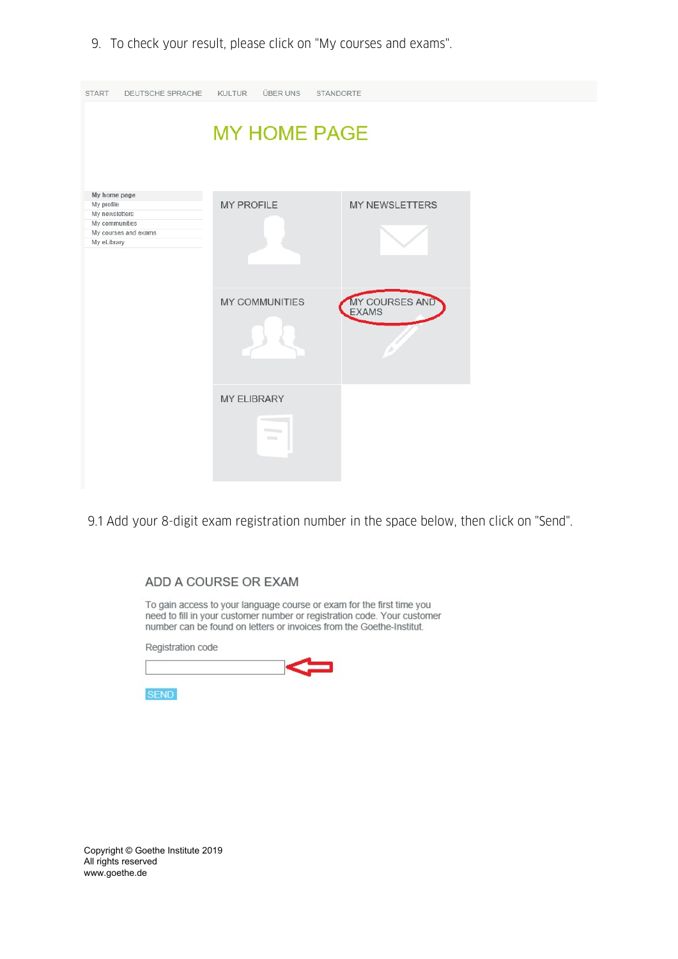9. To check your result, please click on "My courses and exams".

| <b>START</b><br>DEUTSCHE SPRACHE                                                                      | <b>KULTUR</b><br><b>ÜBER UNS</b>                                                                                                                                                                                                                                                         | STANDORTE             |
|-------------------------------------------------------------------------------------------------------|------------------------------------------------------------------------------------------------------------------------------------------------------------------------------------------------------------------------------------------------------------------------------------------|-----------------------|
|                                                                                                       | <b>MY HOME PAGE</b>                                                                                                                                                                                                                                                                      |                       |
| My home page<br>My profile<br>My newsletters<br>My communities<br>My courses and exams<br>My eLibrary | <b>MY PROFILE</b>                                                                                                                                                                                                                                                                        | <b>MY NEWSLETTERS</b> |
|                                                                                                       | <b>MY COMMUNITIES</b>                                                                                                                                                                                                                                                                    | MY COURSES AND        |
|                                                                                                       | <b>MY ELIBRARY</b><br><b><i><u>Children Contact of Contact of the Contact of Contact of the Contact of Contact of the Contact of the Contact of the Contact of the Contact of The Contact of The Contact of The Contact of The Contact of The Contact of T</u></i></b><br><b>Billing</b> |                       |

9.1 Add your 8-digit exam registration number in the space below, then click on "Send".

#### ADD A COURSE OR EXAM

To gain access to your language course or exam for the first time you<br>need to fill in your customer number or registration code. Your customer number can be found on letters or invoices from the Goethe-Institut.

Registration code